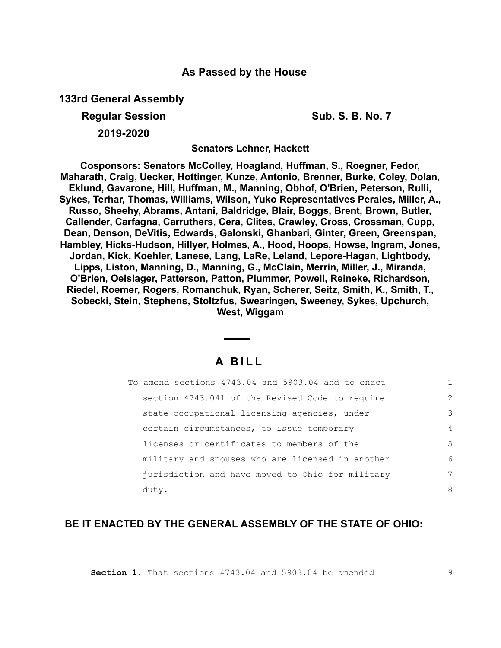## **As Passed by the House**

**133rd General Assembly**

**Regular Session Sub. S. B. No. 7 Sub. S. B. No. 7** 

**2019-2020**

**Senators Lehner, Hackett**

**Cosponsors: Senators McColley, Hoagland, Huffman, S., Roegner, Fedor, Maharath, Craig, Uecker, Hottinger, Kunze, Antonio, Brenner, Burke, Coley, Dolan, Eklund, Gavarone, Hill, Huffman, M., Manning, Obhof, O'Brien, Peterson, Rulli, Sykes, Terhar, Thomas, Williams, Wilson, Yuko Representatives Perales, Miller, A., Russo, Sheehy, Abrams, Antani, Baldridge, Blair, Boggs, Brent, Brown, Butler, Callender, Carfagna, Carruthers, Cera, Clites, Crawley, Cross, Crossman, Cupp, Dean, Denson, DeVitis, Edwards, Galonski, Ghanbari, Ginter, Green, Greenspan, Hambley, Hicks-Hudson, Hillyer, Holmes, A., Hood, Hoops, Howse, Ingram, Jones, Jordan, Kick, Koehler, Lanese, Lang, LaRe, Leland, Lepore-Hagan, Lightbody, Lipps, Liston, Manning, D., Manning, G., McClain, Merrin, Miller, J., Miranda, O'Brien, Oelslager, Patterson, Patton, Plummer, Powell, Reineke, Richardson, Riedel, Roemer, Rogers, Romanchuk, Ryan, Scherer, Seitz, Smith, K., Smith, T., Sobecki, Stein, Stephens, Stoltzfus, Swearingen, Sweeney, Sykes, Upchurch, West, Wiggam**

## **A B I L L**

| To amend sections 4743.04 and 5903.04 and to enact |               |
|----------------------------------------------------|---------------|
| section 4743.041 of the Revised Code to require    | $\mathcal{L}$ |
| state occupational licensing agencies, under       | 3             |
| certain circumstances, to issue temporary          | 4             |
| licenses or certificates to members of the         | 5             |
| military and spouses who are licensed in another   | 6             |
| jurisdiction and have moved to Ohio for military   | 7             |
| duty.                                              | 8             |

## **BE IT ENACTED BY THE GENERAL ASSEMBLY OF THE STATE OF OHIO:**

**Section 1.** That sections 4743.04 and 5903.04 be amended

9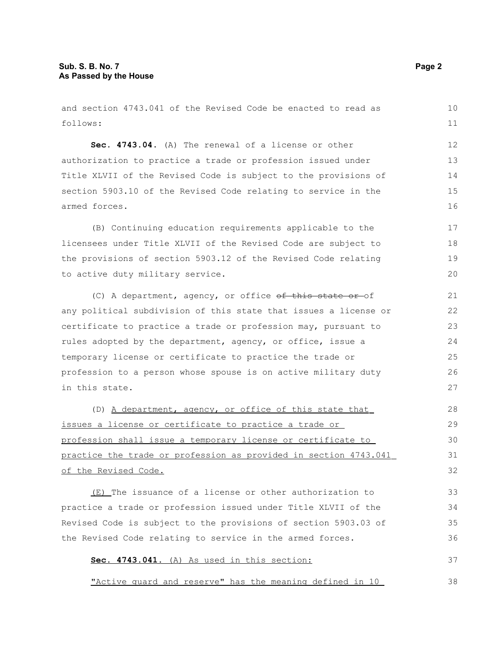and section 4743.041 of the Revised Code be enacted to read as follows: **Sec. 4743.04.** (A) The renewal of a license or other authorization to practice a trade or profession issued under Title XLVII of the Revised Code is subject to the provisions of section 5903.10 of the Revised Code relating to service in the armed forces. (B) Continuing education requirements applicable to the licensees under Title XLVII of the Revised Code are subject to the provisions of section 5903.12 of the Revised Code relating to active duty military service. (C) A department, agency, or office  $ef$  this state or of any political subdivision of this state that issues a license or certificate to practice a trade or profession may, pursuant to rules adopted by the department, agency, or office, issue a temporary license or certificate to practice the trade or profession to a person whose spouse is on active military duty in this state. (D) A department, agency, or office of this state that issues a license or certificate to practice a trade or profession shall issue a temporary license or certificate to practice the trade or profession as provided in section 4743.041 of the Revised Code. (E) The issuance of a license or other authorization to practice a trade or profession issued under Title XLVII of the Revised Code is subject to the provisions of section 5903.03 of the Revised Code relating to service in the armed forces. **Sec. 4743.041.** (A) As used in this section: 10 11 12 13 14 15 16 17 18 19 20 21 22 23 24 25 26 27 28 29 30 31 32 33 34 35 36 37

"Active guard and reserve" has the meaning defined in 10

38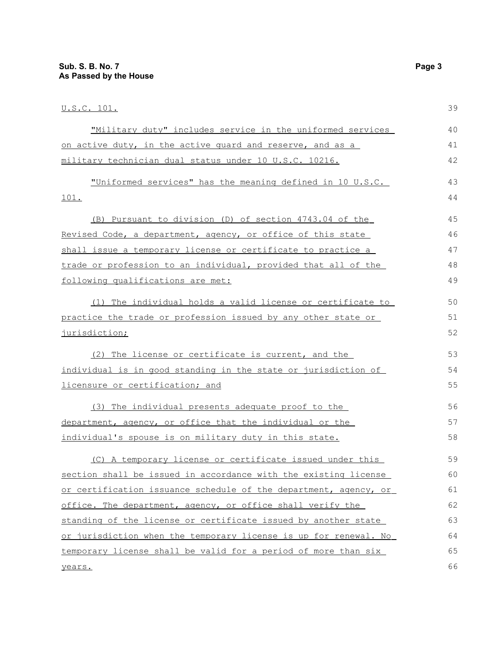| <u>U.S.C. 101.</u>                                               | 39 |
|------------------------------------------------------------------|----|
| "Military duty" includes service in the uniformed services       | 40 |
| on active duty, in the active quard and reserve, and as a        | 41 |
| military technician dual status under 10 U.S.C. 10216.           | 42 |
| "Uniformed services" has the meaning defined in 10 U.S.C.        | 43 |
| 101.                                                             | 44 |
| (B) Pursuant to division (D) of section 4743.04 of the           | 45 |
| Revised Code, a department, agency, or office of this state      | 46 |
| shall issue a temporary license or certificate to practice a     | 47 |
| trade or profession to an individual, provided that all of the   | 48 |
| following qualifications are met:                                | 49 |
| (1) The individual holds a valid license or certificate to       | 50 |
| practice the trade or profession issued by any other state or    | 51 |
| jurisdiction;                                                    | 52 |
| (2) The license or certificate is current, and the               | 53 |
| individual is in good standing in the state or jurisdiction of   | 54 |
| licensure or certification; and                                  | 55 |
| (3) The individual presents adequate proof to the                | 56 |
| department, agency, or office that the individual or the         | 57 |
| individual's spouse is on military duty in this state.           | 58 |
| (C) A temporary license or certificate issued under this         | 59 |
| section shall be issued in accordance with the existing license  | 60 |
| or certification issuance schedule of the department, agency, or | 61 |
| office. The department, agency, or office shall verify the       | 62 |
| standing of the license or certificate issued by another state   | 63 |
| or jurisdiction when the temporary license is up for renewal. No | 64 |
| temporary license shall be valid for a period of more than six   | 65 |
| years.                                                           | 66 |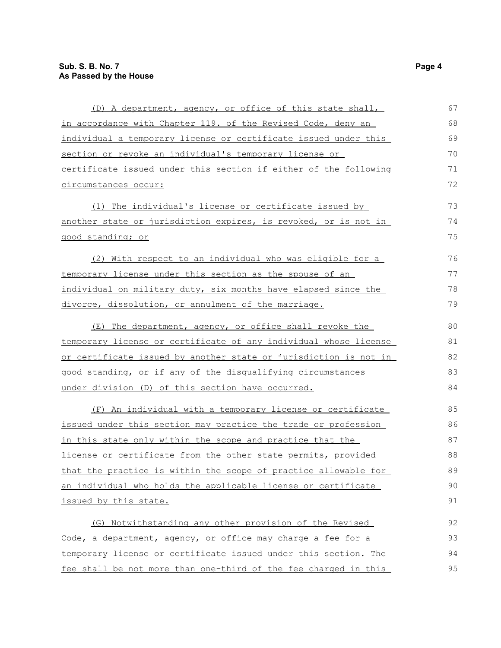| (D) A department, agency, or office of this state shall,         | 67 |
|------------------------------------------------------------------|----|
| in accordance with Chapter 119. of the Revised Code, deny an     | 68 |
| individual a temporary license or certificate issued under this  | 69 |
| section or revoke an individual's temporary license or           | 70 |
| certificate issued under this section if either of the following | 71 |
| circumstances occur:                                             | 72 |
| (1) The individual's license or certificate issued by            | 73 |
| another state or jurisdiction expires, is revoked, or is not in  | 74 |
| good standing; or                                                | 75 |
| (2) With respect to an individual who was eligible for a         | 76 |
| temporary license under this section as the spouse of an         | 77 |
| individual on military duty, six months have elapsed since the   | 78 |
| divorce, dissolution, or annulment of the marriage.              | 79 |
| (E) The department, agency, or office shall revoke the           | 80 |
| temporary license or certificate of any individual whose license | 81 |
| or certificate issued by another state or jurisdiction is not in | 82 |
| good standing, or if any of the disqualifying circumstances      | 83 |
| under division (D) of this section have occurred.                | 84 |
| (F) An individual with a temporary license or certificate        | 85 |
| issued under this section may practice the trade or profession   | 86 |
| in this state only within the scope and practice that the        | 87 |
| license or certificate from the other state permits, provided    | 88 |
| that the practice is within the scope of practice allowable for  | 89 |
| an individual who holds the applicable license or certificate    | 90 |
| issued by this state.                                            | 91 |
| (G) Notwithstanding any other provision of the Revised           | 92 |
| Code, a department, agency, or office may charge a fee for a     | 93 |
| temporary license or certificate issued under this section. The  | 94 |
| fee shall be not more than one-third of the fee charged in this  | 95 |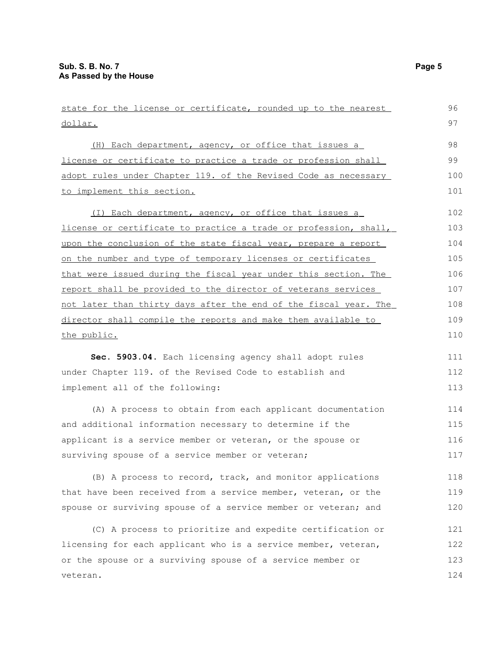veteran.

dollar. (H) Each department, agency, or office that issues a license or certificate to practice a trade or profession shall adopt rules under Chapter 119. of the Revised Code as necessary to implement this section. (I) Each department, agency, or office that issues a license or certificate to practice a trade or profession, shall, upon the conclusion of the state fiscal year, prepare a report on the number and type of temporary licenses or certificates that were issued during the fiscal year under this section. The report shall be provided to the director of veterans services not later than thirty days after the end of the fiscal year. The director shall compile the reports and make them available to the public. **Sec. 5903.04.** Each licensing agency shall adopt rules under Chapter 119. of the Revised Code to establish and implement all of the following: (A) A process to obtain from each applicant documentation and additional information necessary to determine if the applicant is a service member or veteran, or the spouse or surviving spouse of a service member or veteran; (B) A process to record, track, and monitor applications that have been received from a service member, veteran, or the spouse or surviving spouse of a service member or veteran; and (C) A process to prioritize and expedite certification or licensing for each applicant who is a service member, veteran, or the spouse or a surviving spouse of a service member or 97 98 99 100 101 102 103 104 105 106 107 108 109 110 111 112 113 114 115 116 117 118 119 120 121 122 123

state for the license or certificate, rounded up to the nearest

96